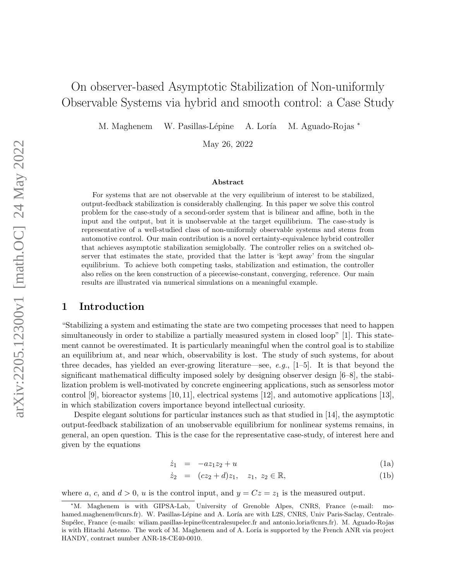# On observer-based Asymptotic Stabilization of Non-uniformly Observable Systems via hybrid and smooth control: a Case Study

M. Maghenem W. Pasillas-Lépine A. Loría M. Aguado-Rojas \*

May 26, 2022

#### Abstract

For systems that are not observable at the very equilibrium of interest to be stabilized, output-feedback stabilization is considerably challenging. In this paper we solve this control problem for the case-study of a second-order system that is bilinear and affine, both in the input and the output, but it is unobservable at the target equilibrium. The case-study is representative of a well-studied class of non-uniformly observable systems and stems from automotive control. Our main contribution is a novel certainty-equivalence hybrid controller that achieves asymptotic stabilization semiglobally. The controller relies on a switched observer that estimates the state, provided that the latter is 'kept away' from the singular equilibrium. To achieve both competing tasks, stabilization and estimation, the controller also relies on the keen construction of a piecewise-constant, converging, reference. Our main results are illustrated via numerical simulations on a meaningful example.

## 1 Introduction

"Stabilizing a system and estimating the state are two competing processes that need to happen simultaneously in order to stabilize a partially measured system in closed loop" [\[1\]](#page-19-0). This statement cannot be overestimated. It is particularly meaningful when the control goal is to stabilize an equilibrium at, and near which, observability is lost. The study of such systems, for about three decades, has yielded an ever-growing literature—see, e.g.,  $[1-5]$  $[1-5]$ . It is that beyond the significant mathematical difficulty imposed solely by designing observer design [\[6–](#page-19-2)[8\]](#page-20-0), the stabilization problem is well-motivated by concrete engineering applications, such as sensorless motor control [\[9\]](#page-20-1), bioreactor systems [\[10,](#page-20-2) [11\]](#page-20-3), electrical systems [\[12\]](#page-20-4), and automotive applications [\[13\]](#page-20-5), in which stabilization covers importance beyond intellectual curiosity.

<span id="page-0-1"></span>Despite elegant solutions for particular instances such as that studied in [\[14\]](#page-20-6), the asymptotic output-feedback stabilization of an unobservable equilibrium for nonlinear systems remains, in general, an open question. This is the case for the representative case-study, of interest here and given by the equations

<span id="page-0-0"></span>
$$
\dot{z}_1 = -az_1z_2 + u \tag{1a}
$$

$$
\dot{z}_2 = (cz_2 + d)z_1, \quad z_1, \ z_2 \in \mathbb{R}, \tag{1b}
$$

where a, c, and  $d > 0$ , u is the control input, and  $y = Cz = z<sub>1</sub>$  is the measured output.

<sup>∗</sup>M. Maghenem is with GIPSA-Lab, University of Grenoble Alpes, CNRS, France (e-mail: mohamed.maghenem@cnrs.fr). W. Pasillas-Lépine and A. Loría are with L2S, CNRS, Univ Paris-Saclay, Centrale-Sup´elec, France (e-mails: wiliam.pasillas-lepine@centralesupelec.fr and antonio.loria@cnrs.fr). M. Aguado-Rojas is with Hitachi Astemo. The work of M. Maghenem and of A. Loría is supported by the French ANR via project HANDY, contract number ANR-18-CE40-0010.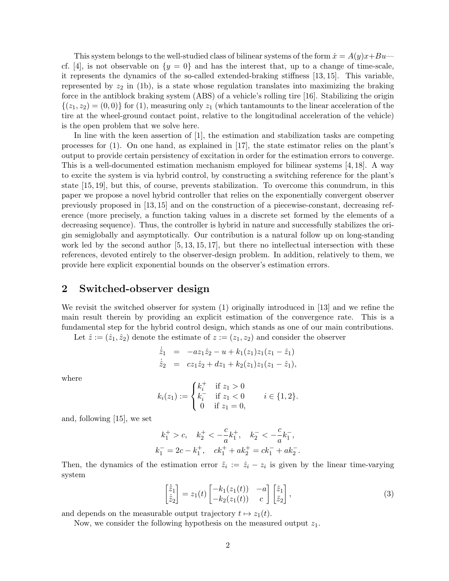This system belongs to the well-studied class of bilinear systems of the form  $\dot{x} = A(y)x + Bu$ cf. [\[4\]](#page-19-3), is not observable on  $\{y = 0\}$  and has the interest that, up to a change of time-scale, it represents the dynamics of the so-called extended-braking stiffness [\[13,](#page-20-5) [15\]](#page-20-7). This variable, represented by  $z_2$  in [\(1b\)](#page-0-0), is a state whose regulation translates into maximizing the braking force in the antiblock braking system (ABS) of a vehicle's rolling tire [\[16\]](#page-20-8). Stabilizing the origin  $\{(z_1, z_2) = (0, 0)\}\$ for [\(1\)](#page-0-1), measuring only  $z_1$  (which tantamounts to the linear acceleration of the tire at the wheel-ground contact point, relative to the longitudinal acceleration of the vehicle) is the open problem that we solve here.

In line with the keen assertion of [\[1\]](#page-19-0), the estimation and stabilization tasks are competing processes for [\(1\)](#page-0-1). On one hand, as explained in [\[17\]](#page-20-9), the state estimator relies on the plant's output to provide certain persistency of excitation in order for the estimation errors to converge. This is a well-documented estimation mechanism employed for bilinear systems [\[4,](#page-19-3) [18\]](#page-20-10). A way to excite the system is via hybrid control, by constructing a switching reference for the plant's state [\[15,](#page-20-7) [19\]](#page-20-11), but this, of course, prevents stabilization. To overcome this conundrum, in this paper we propose a novel hybrid controller that relies on the exponentially convergent observer previously proposed in [\[13,](#page-20-5) [15\]](#page-20-7) and on the construction of a piecewise-constant, decreasing reference (more precisely, a function taking values in a discrete set formed by the elements of a decreasing sequence). Thus, the controller is hybrid in nature and successfully stabilizes the origin semiglobally and asymptotically. Our contribution is a natural follow up on long-standing work led by the second author [\[5,](#page-19-1) [13,](#page-20-5) [15,](#page-20-7) [17\]](#page-20-9), but there no intellectual intersection with these references, devoted entirely to the observer-design problem. In addition, relatively to them, we provide here explicit exponential bounds on the observer's estimation errors.

### 2 Switched-observer design

We revisit the switched observer for system [\(1\)](#page-0-1) originally introduced in [\[13\]](#page-20-5) and we refine the main result therein by providing an explicit estimation of the convergence rate. This is a fundamental step for the hybrid control design, which stands as one of our main contributions.

Let  $\hat{z} := (\hat{z}_1, \hat{z}_2)$  denote the estimate of  $z := (z_1, z_2)$  and consider the observer

<span id="page-1-2"></span>
$$
\dot{\hat{z}}_1 = -az_1\hat{z}_2 - u + k_1(z_1)z_1(z_1 - \hat{z}_1) \n\dot{\hat{z}}_2 = cz_1\hat{z}_2 + dz_1 + k_2(z_1)z_1(z_1 - \hat{z}_1),
$$

where

$$
k_i(z_1) := \begin{cases} k_i^+ & \text{if } z_1 > 0 \\ k_i^- & \text{if } z_1 < 0 \\ 0 & \text{if } z_1 = 0, \end{cases} \quad i \in \{1, 2\}.
$$

and, following [\[15\]](#page-20-7), we set

$$
\begin{gathered} k_1^+ > c, \quad k_2^+ < -\frac{c}{a} k_1^+, \quad k_2^- < -\frac{c}{a} k_1^-, \\ k_1^- = 2c - k_1^+, \quad c k_1^+ + a k_2^+ = c k_1^- + a k_2^-.\end{gathered}
$$

Then, the dynamics of the estimation error  $\tilde{z}_i := \hat{z}_i - z_i$  is given by the linear time-varying system

<span id="page-1-1"></span>
$$
\begin{bmatrix} \dot{\tilde{z}}_1 \\ \dot{\tilde{z}}_2 \end{bmatrix} = z_1(t) \begin{bmatrix} -k_1(z_1(t)) & -a \\ -k_2(z_1(t)) & c \end{bmatrix} \begin{bmatrix} \tilde{z}_1 \\ \tilde{z}_2 \end{bmatrix},
$$
\n(3)

and depends on the measurable output trajectory  $t \mapsto z_1(t)$ .

<span id="page-1-0"></span>Now, we consider the following hypothesis on the measured output  $z_1$ .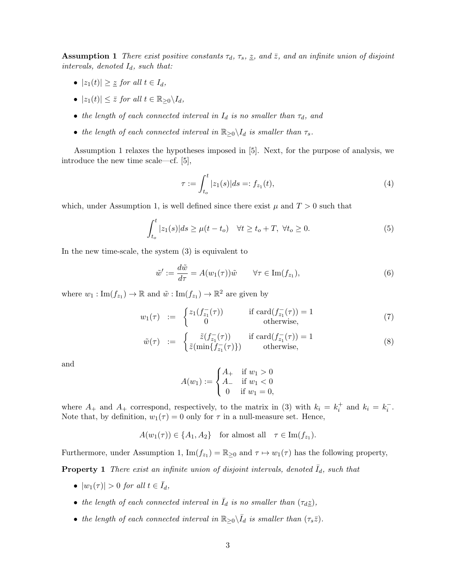**Assumption 1** There exist positive constants  $\tau_d$ ,  $\tau_s$ ,  $\tilde{z}$ , and  $\tilde{z}$ , and an infinite union of disjoint intervals, denoted  $I_d$ , such that:

- $|z_1(t)| \geq \underline{z}$  for all  $t \in I_d$ ,
- $|z_1(t)| \leq \overline{z}$  for all  $t \in \mathbb{R}_{\geq 0} \backslash I_d$ ,
- the length of each connected interval in  $I_d$  is no smaller than  $\tau_d$ , and
- the length of each connected interval in  $\mathbb{R}_{\geq 0} \setminus I_d$  is smaller than  $\tau_s$ .

Assumption [1](#page-1-0) relaxes the hypotheses imposed in [\[5\]](#page-19-1). Next, for the purpose of analysis, we introduce the new time scale—cf. [\[5\]](#page-19-1),

<span id="page-2-4"></span><span id="page-2-0"></span>
$$
\tau := \int_{t_o}^t |z_1(s)| ds =: f_{z_1}(t), \tag{4}
$$

which, under Assumption [1,](#page-1-0) is well defined since there exist  $\mu$  and  $T > 0$  such that

<span id="page-2-3"></span>
$$
\int_{t_o}^t |z_1(s)|ds \ge \mu(t - t_o) \quad \forall t \ge t_o + T, \ \forall t_o \ge 0.
$$
 (5)

In the new time-scale, the system [\(3\)](#page-1-1) is equivalent to

$$
\tilde{w}' := \frac{d\tilde{w}}{d\tau} = A(w_1(\tau))\tilde{w} \qquad \forall \tau \in \text{Im}(f_{z_1}),\tag{6}
$$

where  $w_1: \text{Im}(f_{z_1}) \to \mathbb{R}$  and  $\tilde{w}: \text{Im}(f_{z_1}) \to \mathbb{R}^2$  are given by

$$
w_1(\tau) \quad := \quad \begin{cases} z_1(f_{z_1}^-(\tau)) & \text{if } \operatorname{card}(f_{z_1}^-(\tau)) = 1 \\ 0 & \text{otherwise,} \end{cases} \tag{7}
$$

$$
\tilde{w}(\tau) := \begin{cases}\n\tilde{z}(f_{z_1}(\tau)) & \text{if } \operatorname{card}(f_{z_1}(\tau)) = 1 \\
\tilde{z}(\min\{f_{z_1}(\tau)\}) & \text{otherwise,} \n\end{cases}
$$
\n(8)

and

<span id="page-2-1"></span>
$$
A(w_1) := \begin{cases} A_+ & \text{if } w_1 > 0 \\ A_- & \text{if } w_1 < 0 \\ 0 & \text{if } w_1 = 0, \end{cases}
$$

where  $A_+$  and  $A_+$  correspond, respectively, to the matrix in [\(3\)](#page-1-1) with  $k_i = k_i^+$  and  $k_i = k_i^-$ . Note that, by definition,  $w_1(\tau) = 0$  only for  $\tau$  in a null-measure set. Hence,

 $A(w_1(\tau)) \in \{A_1, A_2\}$  for almost all  $\tau \in \text{Im}(f_{z_1}).$ 

Furthermore, under Assumption [1,](#page-1-0)  $\text{Im}(f_{z_1}) = \mathbb{R}_{\geq 0}$  and  $\tau \mapsto w_1(\tau)$  has the following property,

**Property 1** There exist an infinite union of disjoint intervals, denoted  $I_d$ , such that

- $|w_1(\tau)| > 0$  for all  $t \in \overline{I}_d$ ,
- the length of each connected interval in  $\overline{I}_d$  is no smaller than  $(\tau_d \underline{z})$ ,
- <span id="page-2-2"></span>• the length of each connected interval in  $\mathbb{R}_{\geq 0} \setminus \overline{I}_d$  is smaller than  $(\tau_s \overline{z})$ .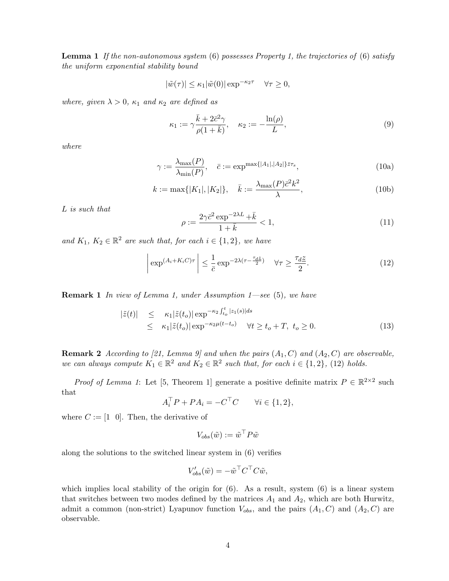**Lemma 1** If the non-autonomous system  $(6)$  possesses Property [1,](#page-2-1) the trajectories of  $(6)$  satisfy the uniform exponential stability bound

$$
|\tilde{w}(\tau)| \le \kappa_1 |\tilde{w}(0)| \exp^{-\kappa_2 \tau} \quad \forall \tau \ge 0,
$$

where, given  $\lambda > 0$ ,  $\kappa_1$  and  $\kappa_2$  are defined as

$$
\kappa_1 := \gamma \frac{\bar{k} + 2\bar{c}^2 \gamma}{\rho(1 + \bar{k})}, \quad \kappa_2 := -\frac{\ln(\rho)}{L}, \tag{9}
$$

where

$$
\gamma := \frac{\lambda_{\max}(P)}{\lambda_{\min}(P)}, \quad \bar{c} := \exp^{\max\{|A_1|, |A_2|\} \bar{z} \tau_s}, \tag{10a}
$$

$$
k := \max\{|K_1|, |K_2|\}, \quad \bar{k} := \frac{\lambda_{\max}(P)\bar{c}^2 k^2}{\lambda},
$$
\n(10b)

L is such that

$$
\rho := \frac{2\gamma \bar{c}^2 \exp^{-2\lambda L} + \bar{k}}{1 + \bar{k}} < 1,\tag{11}
$$

and  $K_1, K_2 \in \mathbb{R}^2$  are such that, for each  $i \in \{1, 2\}$ , we have

<span id="page-3-0"></span>
$$
\left| \exp^{(A_i + K_i C)\tau} \right| \le \frac{1}{\bar{c}} \exp^{-2\lambda(\tau - \frac{\tau_d \bar{z}}{2})} \quad \forall \tau \ge \frac{\tau_d \bar{z}}{2}.
$$
 (12)

**Remark 1** In view of Lemma [1,](#page-2-2) under Assumption  $1$ —see [\(5\)](#page-2-3), we have

<span id="page-3-1"></span>
$$
\begin{aligned}\n|\tilde{z}(t)| &\leq \kappa_1 |\tilde{z}(t_o)| \exp^{-\kappa_2 \int_{t_o}^t |z_1(s)| ds} \\
&\leq \kappa_1 |\tilde{z}(t_o)| \exp^{-\kappa_2 \mu (t - t_o)} \quad \forall t \geq t_o + T, \ t_o \geq 0.\n\end{aligned} \tag{13}
$$

**Remark 2** According to [\[21,](#page-20-12) Lemma 9] and when the pairs  $(A_1, C)$  and  $(A_2, C)$  are observable, we can always compute  $K_1 \in \mathbb{R}^2$  and  $K_2 \in \mathbb{R}^2$  such that, for each  $i \in \{1,2\}$ , [\(12\)](#page-3-0) holds.

*Proof of Lemma [1](#page-2-2)*: Let [\[5,](#page-19-1) Theorem 1] generate a positive definite matrix  $P \in \mathbb{R}^{2 \times 2}$  such that

$$
A_i^{\top} P + P A_i = -C^{\top} C \qquad \forall i \in \{1, 2\},
$$

where  $C := [1 \ 0]$ . Then, the derivative of

$$
V_{obs}(\tilde{w}) := \tilde{w}^\top P \tilde{w}
$$

along the solutions to the switched linear system in [\(6\)](#page-2-0) verifies

$$
V'_{obs}(\tilde{w}) = -\tilde{w}^\top C^\top C \tilde{w},
$$

which implies local stability of the origin for  $(6)$ . As a result, system  $(6)$  is a linear system that switches between two modes defined by the matrices  $A_1$  and  $A_2$ , which are both Hurwitz, admit a common (non-strict) Lyapunov function  $V_{obs}$ , and the pairs  $(A_1, C)$  and  $(A_2, C)$  are observable.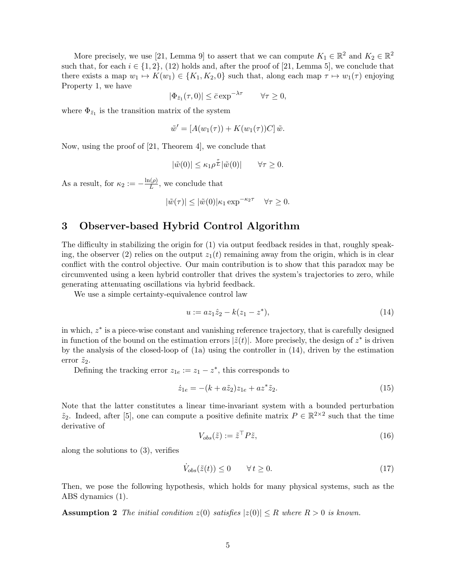More precisely, we use [\[21,](#page-20-12) Lemma 9] to assert that we can compute  $K_1 \in \mathbb{R}^2$  and  $K_2 \in \mathbb{R}^2$ such that, for each  $i \in \{1, 2\}$ , [\(12\)](#page-3-0) holds and, after the proof of [\[21,](#page-20-12) Lemma 5], we conclude that there exists a map  $w_1 \mapsto K(w_1) \in \{K_1, K_2, 0\}$  such that, along each map  $\tau \mapsto w_1(\tau)$  enjoying Property [1,](#page-2-1) we have

$$
|\Phi_{\bar{z}_1}(\tau,0)| \leq \bar{c} \exp^{-\lambda \tau} \qquad \forall \tau \geq 0,
$$

where  $\Phi_{\bar{z}_1}$  is the transition matrix of the system

$$
\tilde{w}' = [A(w_1(\tau)) + K(w_1(\tau))C] \tilde{w}.
$$

Now, using the proof of [\[21,](#page-20-12) Theorem 4], we conclude that

$$
|\tilde{w}(0)| \le \kappa_1 \rho^{\frac{\tau}{L}} |\tilde{w}(0)| \qquad \forall \tau \ge 0.
$$

As a result, for  $\kappa_2 := -\frac{\ln(\rho)}{L}$  $\frac{L^{(p)}}{L}$ , we conclude that

$$
|\tilde{w}(\tau)| \le |\tilde{w}(0)| \kappa_1 \exp^{-\kappa_2 \tau} \quad \forall \tau \ge 0.
$$

# <span id="page-4-4"></span>3 Observer-based Hybrid Control Algorithm

The difficulty in stabilizing the origin for [\(1\)](#page-0-1) via output feedback resides in that, roughly speak-ing, the observer [\(2\)](#page-1-2) relies on the output  $z_1(t)$  remaining away from the origin, which is in clear conflict with the control objective. Our main contribution is to show that this paradox may be circumvented using a keen hybrid controller that drives the system's trajectories to zero, while generating attenuating oscillations via hybrid feedback.

We use a simple certainty-equivalence control law

<span id="page-4-0"></span>
$$
u := az_1 \hat{z}_2 - k(z_1 - z^*), \tag{14}
$$

in which,  $z^*$  is a piece-wise constant and vanishing reference trajectory, that is carefully designed in function of the bound on the estimation errors  $|\tilde{z}(t)|$ . More precisely, the design of  $z^*$  is driven by the analysis of the closed-loop of [\(1a\)](#page-0-0) using the controller in [\(14\)](#page-4-0), driven by the estimation error  $\tilde{z}_2$ .

Defining the tracking error  $z_{1e} := z_1 - z^*$ , this corresponds to

<span id="page-4-3"></span>
$$
\dot{z}_{1e} = -(k + a\tilde{z}_2)z_{1e} + az^*\tilde{z}_2.
$$
\n(15)

Note that the latter constitutes a linear time-invariant system with a bounded perturbation  $\tilde{z}_2$ . Indeed, after [\[5\]](#page-19-1), one can compute a positive definite matrix  $P \in \mathbb{R}^{2 \times 2}$  such that the time derivative of

<span id="page-4-5"></span>
$$
V_{obs}(\tilde{z}) := \tilde{z}^\top P \tilde{z},\tag{16}
$$

along the solutions to [\(3\)](#page-1-1), verifies

<span id="page-4-2"></span><span id="page-4-1"></span>
$$
\dot{V}_{obs}(\tilde{z}(t)) \le 0 \qquad \forall \, t \ge 0. \tag{17}
$$

Then, we pose the following hypothesis, which holds for many physical systems, such as the ABS dynamics [\(1\)](#page-0-1).

**Assumption 2** The initial condition  $z(0)$  satisfies  $|z(0)| \leq R$  where  $R > 0$  is known.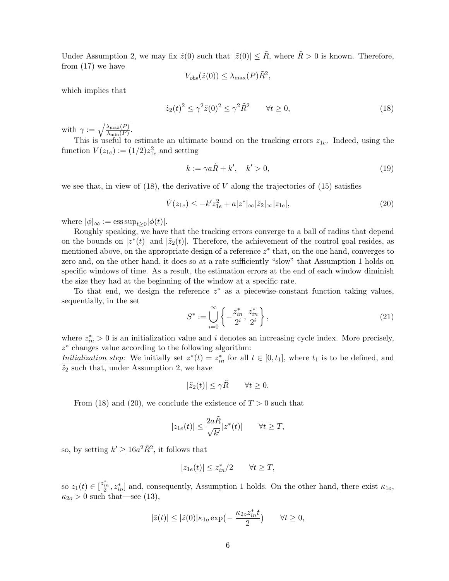Under Assumption [2,](#page-4-1) we may fix  $\hat{z}(0)$  such that  $|\tilde{z}(0)| \leq \tilde{R}$ , where  $\tilde{R} > 0$  is known. Therefore, from [\(17\)](#page-4-2) we have

<span id="page-5-0"></span>
$$
V_{obs}(\tilde{z}(0)) \leq \lambda_{\max}(P)\tilde{R}^2,
$$

which implies that

$$
\tilde{z}_2(t)^2 \le \gamma^2 \tilde{z}(0)^2 \le \gamma^2 \tilde{R}^2 \qquad \forall t \ge 0,
$$
\n<sup>(18)</sup>

with  $\gamma := \sqrt{\frac{\lambda_{\max}(P)}{\lambda_{\min}(P)}}$ .

This is useful to estimate an ultimate bound on the tracking errors  $z_{1e}$ . Indeed, using the function  $V(z_{1e}) := (1/2)z_{1e}^2$  and setting

<span id="page-5-3"></span>
$$
k := \gamma a \tilde{R} + k', \quad k' > 0,
$$
\n<sup>(19)</sup>

we see that, in view of  $(18)$ , the derivative of V along the trajectories of  $(15)$  satisfies

<span id="page-5-1"></span>
$$
\dot{V}(z_{1e}) \le -k' z_{1e}^2 + a|z^*|_{\infty} |\tilde{z}_2|_{\infty} |z_{1e}|,\tag{20}
$$

where  $|\phi|_{\infty} := \operatorname{ess} \operatorname{sup}_{t \geq 0} |\phi(t)|$ .

Roughly speaking, we have that the tracking errors converge to a ball of radius that depend on the bounds on  $|z^*(t)|$  and  $|\tilde{z}_2(t)|$ . Therefore, the achievement of the control goal resides, as mentioned above, on the appropriate design of a reference  $z^*$  that, on the one hand, converges to zero and, on the other hand, it does so at a rate sufficiently "slow" that Assumption [1](#page-1-0) holds on specific windows of time. As a result, the estimation errors at the end of each window diminish the size they had at the beginning of the window at a specific rate.

To that end, we design the reference  $z^*$  as a piecewise-constant function taking values, sequentially, in the set

<span id="page-5-2"></span>
$$
S^* := \bigcup_{i=0}^{\infty} \left\{ -\frac{z_{in}^*}{2^i}, \frac{z_{in}^*}{2^i} \right\},\tag{21}
$$

where  $z_{in}^* > 0$  is an initialization value and i denotes an increasing cycle index. More precisely, z ∗ changes value according to the following algorithm:

Initialization step: We initially set  $z^*(t) = z_{in}^*$  for all  $t \in [0, t_1]$ , where  $t_1$  is to be defined, and  $\hat{z}_2$  such that, under Assumption [2,](#page-4-1) we have

$$
|\tilde{z}_2(t)| \le \gamma \tilde{R} \qquad \forall t \ge 0.
$$

From [\(18\)](#page-5-0) and [\(20\)](#page-5-1), we conclude the existence of  $T > 0$  such that

$$
|z_{1e}(t)| \le \frac{2a\tilde{R}}{\sqrt{k'}}|z^*(t)| \qquad \forall t \ge T,
$$

so, by setting  $k' \ge 16a^2\tilde{R}^2$ , it follows that

$$
|z_{1e}(t)| \le z_{in}^*/2 \qquad \forall t \ge T,
$$

so  $z_1(t) \in \left[\frac{z_{in}^*}{2}, z_{in}^*\right]$  and, consequently, Assumption [1](#page-1-0) holds. On the other hand, there exist  $\kappa_{1o}$ ,  $\kappa_{2o} > 0$  such that—see [\(13\)](#page-3-1),

$$
|\tilde{z}(t)|\leq |\tilde{z}(0)|\kappa_{1o}\exp\bigl(-\,\frac{\kappa_{2o}z_{in}^*t}{2}\bigr) \qquad \forall t\geq 0,
$$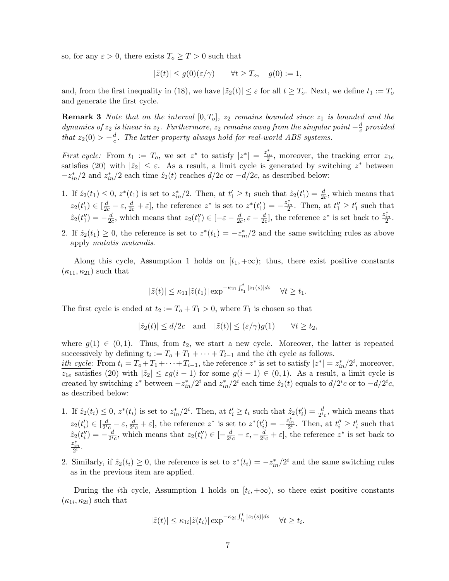so, for any  $\varepsilon > 0$ , there exists  $T_o \geq T > 0$  such that

$$
|\tilde{z}(t)| \le g(0)(\varepsilon/\gamma) \qquad \forall t \ge T_o, \quad g(0) := 1,
$$

and, from the first inequality in [\(18\)](#page-5-0), we have  $|\tilde{z}_2(t)| \leq \varepsilon$  for all  $t \geq T_o$ . Next, we define  $t_1 := T_o$ and generate the first cycle.

**Remark 3** Note that on the interval  $[0, T_0]$ ,  $z_2$  remains bounded since  $z_1$  is bounded and the dynamics of  $z_2$  is linear in  $z_2$ . Furthermore,  $z_2$  remains away from the singular point  $-\frac{d}{c}$  $\frac{d}{c}$  provided that  $z_2(0) > -\frac{d}{c}$  $\frac{d}{c}$ . The latter property always hold for real-world ABS systems.

First cycle: From  $t_1 := T_o$ , we set  $z^*$  to satisfy  $|z^*| = \frac{z_{in}^*}{2}$ , moreover, the tracking error  $z_{1e}$ satisfies [\(20\)](#page-5-1) with  $|\tilde{z}_2| \leq \varepsilon$ . As a result, a limit cycle is generated by switching  $z^*$  between  $-z_{in}^{*}/2$  and  $z_{in}^{*}/2$  each time  $\hat{z}_{2}(t)$  reaches  $d/2c$  or  $-d/2c$ , as described below:

- 1. If  $\hat{z}_2(t_1) \leq 0$ ,  $z^*(t_1)$  is set to  $z_{in}^*/2$ . Then, at  $t_1' \geq t_1$  such that  $\hat{z}_2(t_1') = \frac{d}{2c}$ , which means that  $z_2(t'_1) \in [\frac{d}{2c} - \varepsilon, \frac{d}{2c} + \varepsilon],$  the reference  $z^*$  is set to  $z^*(t'_1) = -\frac{z_{in}^*}{2}$ . Then, at  $t''_1 \ge t'_1$  such that  $\hat{z}_2(t''_1) = -\frac{d}{2a}$  $\frac{d}{2c}$ , which means that  $z_2(t_1'') \in [-\varepsilon - \frac{d}{2c}]$  $\frac{d}{2c}, \varepsilon - \frac{d}{2c}$  $\frac{d}{2c}$ , the reference  $z^*$  is set back to  $\frac{z_{in}^*}{2}$ .
- 2. If  $\hat{z}_2(t_1) \geq 0$ , the reference is set to  $z^*(t_1) = -z^*_{in}/2$  and the same switching rules as above apply mutatis mutandis.

Along this cycle, Assumption [1](#page-1-0) holds on  $[t_1, +\infty)$ ; thus, there exist positive constants  $(\kappa_{11}, \kappa_{21})$  such that

$$
|\tilde{z}(t)| \le \kappa_{11} |\tilde{z}(t_1)| \exp^{-\kappa_{21} \int_{t_1}^t |z_1(s)| ds} \quad \forall t \ge t_1.
$$

The first cycle is ended at  $t_2 := T_o + T_1 > 0$ , where  $T_1$  is chosen so that

$$
|\hat{z}_2(t)| \le d/2c
$$
 and  $|\tilde{z}(t)| \le (\varepsilon/\gamma)g(1)$   $\forall t \ge t_2$ ,

where  $g(1) \in (0,1)$ . Thus, from  $t_2$ , we start a new cycle. Moreover, the latter is repeated successively by defining  $t_i := T_o + T_1 + \cdots + T_{i-1}$  and the *i*th cycle as follows.

*ith cycle:* From  $t_i = T_o + T_1 + \cdots + T_{i-1}$ , the reference  $z^*$  is set to satisfy  $|z^*| = z_{in}^*/2^i$ , moreover,  $z_{1e}$  satisfies [\(20\)](#page-5-1) with  $|\tilde{z}_2| \leq \varepsilon g(i-1)$  for some  $g(i-1) \in (0,1)$ . As a result, a limit cycle is created by switching  $z^*$  between  $-z_{in}^*/2^i$  and  $z_{in}^*/2^i$  each time  $\hat{z}_2(t)$  equals to  $d/2^i c$  or to  $-d/2^i c$ , as described below:

- 1. If  $\hat{z}_2(t_i) \leq 0$ ,  $z^*(t_i)$  is set to  $z_{in}^*/2^i$ . Then, at  $t_i' \geq t_i$  such that  $\hat{z}_2(t_i') = \frac{d}{2^i c}$ , which means that  $z_2(t'_i) \in \left[\frac{d}{2^i}\right]$  $\frac{d}{2^i c} - \varepsilon$ ,  $\frac{d}{2^i c} + \varepsilon$ , the reference  $z^*$  is set to  $z^*(t'_i) = -\frac{z_{in}^*}{2^i}$ . Then, at  $t''_i \geq t'_i$  such that  $\hat{z}_2(t''_i) = -\frac{d}{2^i}$  $\frac{d}{2^i c}$ , which means that  $z_2(t''_i) \in [-\frac{d}{2^i})$  $\frac{d}{2^i c} - \varepsilon, -\frac{d}{2^i}$  $\frac{d}{2^i c} + \varepsilon$ , the reference  $z^*$  is set back to  $\frac{z_{in}^*}{2^i}$ .
- 2. Similarly, if  $\hat{z}_2(t_i) \geq 0$ , the reference is set to  $z^*(t_i) = -z_{in}^*/2^i$  and the same switching rules as in the previous item are applied.

During the *i*th cycle, Assumption [1](#page-1-0) holds on  $[t_i, +\infty)$ , so there exist positive constants  $(\kappa_{1i}, \kappa_{2i})$  such that

$$
|\tilde{z}(t)| \le \kappa_{1i} |\tilde{z}(t_i)| \exp^{-\kappa_{2i} \int_{t_i}^t |z_1(s)| ds} \quad \forall t \ge t_i.
$$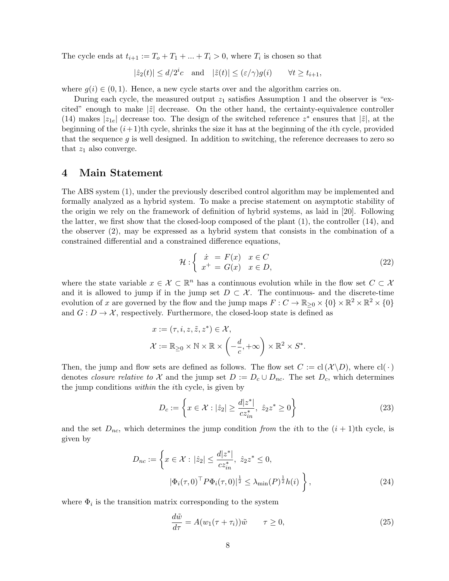The cycle ends at  $t_{i+1} := T_o + T_1 + ... + T_i > 0$ , where  $T_i$  is chosen so that

$$
|\hat{z}_2(t)| \le d/2^i c
$$
 and  $|\tilde{z}(t)| \le (\varepsilon/\gamma)g(i)$   $\forall t \ge t_{i+1}$ ,

where  $g(i) \in (0,1)$ . Hence, a new cycle starts over and the algorithm carries on.

During each cycle, the measured output  $z_1$  satisfies Assumption [1](#page-1-0) and the observer is "excited" enough to make  $|\tilde{z}|$  decrease. On the other hand, the certainty-equivalence controller [\(14\)](#page-4-0) makes  $|z_{1e}|$  decrease too. The design of the switched reference  $z^*$  ensures that  $|\tilde{z}|$ , at the beginning of the  $(i+1)$ th cycle, shrinks the size it has at the beginning of the *i*th cycle, provided that the sequence  $g$  is well designed. In addition to switching, the reference decreases to zero so that  $z_1$  also converge.

## <span id="page-7-4"></span>4 Main Statement

The ABS system [\(1\)](#page-0-1), under the previously described control algorithm may be implemented and formally analyzed as a hybrid system. To make a precise statement on asymptotic stability of the origin we rely on the framework of definition of hybrid systems, as laid in [\[20\]](#page-20-13). Following the latter, we first show that the closed-loop composed of the plant [\(1\)](#page-0-1), the controller [\(14\)](#page-4-0), and the observer [\(2\)](#page-1-2), may be expressed as a hybrid system that consists in the combination of a constrained differential and a constrained difference equations,

<span id="page-7-0"></span>
$$
\mathcal{H}: \left\{ \begin{array}{l} \dot{x} = F(x) & x \in C \\ x^+ = G(x) & x \in D, \end{array} \right. \tag{22}
$$

where the state variable  $x \in \mathcal{X} \subset \mathbb{R}^n$  has a continuous evolution while in the flow set  $C \subset \mathcal{X}$ and it is allowed to jump if in the jump set  $D \subset \mathcal{X}$ . The continuous- and the discrete-time evolution of x are governed by the flow and the jump maps  $F: C \to \mathbb{R}_{\geq 0} \times \{0\} \times \mathbb{R}^2 \times \mathbb{R}^2 \times \{0\}$ and  $G: D \to \mathcal{X}$ , respectively. Furthermore, the closed-loop state is defined as

$$
x := (\tau, i, z, \tilde{z}, z^*) \in \mathcal{X},
$$
  

$$
\mathcal{X} := \mathbb{R}_{\geq 0} \times \mathbb{N} \times \mathbb{R} \times \left( -\frac{d}{c}, +\infty \right) \times \mathbb{R}^2 \times S^*.
$$

Then, the jump and flow sets are defined as follows. The flow set  $C := cl(X \setminus D)$ , where  $cl(\cdot)$ denotes closure relative to X and the jump set  $D := D_c \cup D_{nc}$ . The set  $D_c$ , which determines the jump conditions within the ith cycle, is given by

<span id="page-7-3"></span>
$$
D_c := \left\{ x \in \mathcal{X} : |\hat{z}_2| \ge \frac{d|z^*|}{cz^*_{in}}, \ \hat{z}_2 z^* \ge 0 \right\}
$$
 (23)

and the set  $D_{nc}$ , which determines the jump condition from the *i*th to the  $(i + 1)$ <sup>th</sup> cycle, is given by

$$
D_{nc} := \left\{ x \in \mathcal{X} : |\hat{z}_2| \le \frac{d|z^*|}{cz_{in}^*}, \ \hat{z}_2 z^* \le 0, |\Phi_i(\tau, 0)^\top P \Phi_i(\tau, 0)|^{\frac{1}{2}} \le \lambda_{\min}(P)^{\frac{1}{2}} h(i) \right\},
$$
(24)

where  $\Phi_i$  is the transition matrix corresponding to the system

<span id="page-7-2"></span><span id="page-7-1"></span>
$$
\frac{d\tilde{w}}{d\tau} = A(w_1(\tau + \tau_i))\tilde{w} \qquad \tau \ge 0,
$$
\n(25)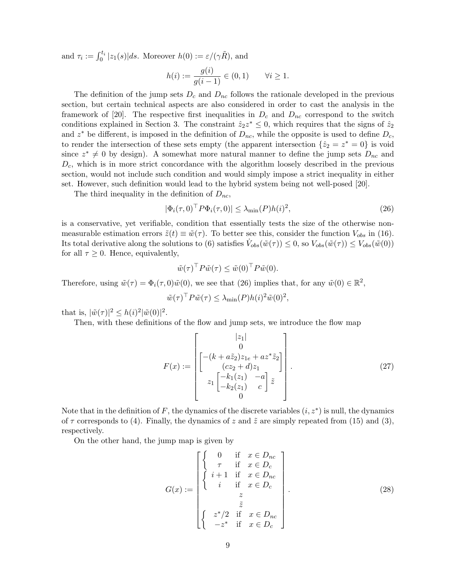and  $\tau_i := \int_0^{t_i} |z_1(s)| ds$ . Moreover  $h(0) := \varepsilon/(\gamma \tilde{R})$ , and

$$
h(i) := \frac{g(i)}{g(i-1)} \in (0,1) \quad \forall i \ge 1.
$$

The definition of the jump sets  $D_c$  and  $D_{nc}$  follows the rationale developed in the previous section, but certain technical aspects are also considered in order to cast the analysis in the framework of [\[20\]](#page-20-13). The respective first inequalities in  $D_c$  and  $D_{nc}$  correspond to the switch conditions explained in Section [3.](#page-4-4) The constraint  $\hat{z}_2 z^* \leq 0$ , which requires that the signs of  $\hat{z}_2$ and  $z^*$  be different, is imposed in the definition of  $D_{nc}$ , while the opposite is used to define  $D_c$ , to render the intersection of these sets empty (the apparent intersection  $\{\hat{z}_2 = z^* = 0\}$ ) is void since  $z^* \neq 0$  by design). A somewhat more natural manner to define the jump sets  $D_{nc}$  and  $D_c$ , which is in more strict concordance with the algorithm loosely described in the previous section, would not include such condition and would simply impose a strict inequality in either set. However, such definition would lead to the hybrid system being not well-posed [\[20\]](#page-20-13).

The third inequality in the definition of  $D_{nc}$ ,

<span id="page-8-0"></span>
$$
|\Phi_i(\tau,0)^\top P \Phi_i(\tau,0)| \le \lambda_{\min}(P) h(i)^2,
$$
\n(26)

is a conservative, yet verifiable, condition that essentially tests the size of the otherwise nonmeasurable estimation errors  $\tilde{z}(t) \equiv \tilde{w}(\tau)$ . To better see this, consider the function  $V_{obs}$  in [\(16\)](#page-4-5). Its total derivative along the solutions to [\(6\)](#page-2-0) satisfies  $\dot{V}_{obs}(\tilde{w}(\tau)) \leq 0$ , so  $V_{obs}(\tilde{w}(\tau)) \leq V_{obs}(\tilde{w}(0))$ for all  $\tau \geq 0$ . Hence, equivalently,

$$
\tilde{w}(\tau)^{\top} P \tilde{w}(\tau) \le \tilde{w}(0)^{\top} P \tilde{w}(0).
$$

Therefore, using  $\tilde{w}(\tau) = \Phi_i(\tau, 0)\tilde{w}(0)$ , we see that [\(26\)](#page-8-0) implies that, for any  $\tilde{w}(0) \in \mathbb{R}^2$ ,

$$
\tilde{w}(\tau)^{\top} P \tilde{w}(\tau) \leq \lambda_{\min}(P) h(i)^2 \tilde{w}(0)^2,
$$

that is,  $|\tilde{w}(\tau)|^2 \leq h(i)^2 |\tilde{w}(0)|^2$ .

Then, with these definitions of the flow and jump sets, we introduce the flow map

<span id="page-8-1"></span>
$$
F(x) := \begin{bmatrix} |z_1| \\ 0 \\ (cz_2 + d)z_1 \\ z_1 \begin{bmatrix} -(k + a\tilde{z}_2)z_{1e} + az^*\tilde{z}_2 \\ (cz_2 + d)z_1 \\ z_1 \begin{bmatrix} -k_1(z_1) & -a \\ -k_2(z_1) & c \end{bmatrix} \tilde{z} \end{bmatrix} .
$$
 (27)

Note that in the definition of  $F$ , the dynamics of the discrete variables  $(i, z^*)$  is null, the dynamics of  $\tau$  corresponds to [\(4\)](#page-2-4). Finally, the dynamics of z and  $\tilde{z}$  are simply repeated from [\(15\)](#page-4-3) and [\(3\)](#page-1-1), respectively.

On the other hand, the jump map is given by

<span id="page-8-2"></span>
$$
G(x) := \begin{bmatrix} \begin{cases} 0 & \text{if } x \in D_{nc} \\ \tau & \text{if } x \in D_{c} \\ i+1 & \text{if } x \in D_{nc} \\ i & \text{if } x \in D_{c} \\ z & \tilde{z} \\ z^{*}/2 & \text{if } x \in D_{nc} \\ -z^{*} & \text{if } x \in D_{c} \end{cases} \end{bmatrix} .
$$
 (28)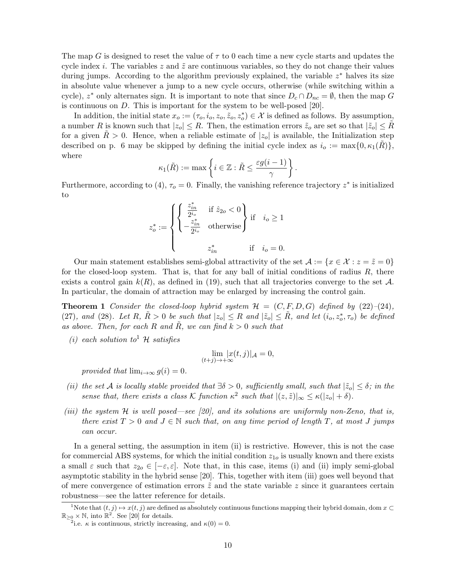The map G is designed to reset the value of  $\tau$  to 0 each time a new cycle starts and updates the cycle index i. The variables z and  $\tilde{z}$  are continuous variables, so they do not change their values during jumps. According to the algorithm previously explained, the variable  $z^*$  halves its size in absolute value whenever a jump to a new cycle occurs, otherwise (while switching within a cycle),  $z^*$  only alternates sign. It is important to note that since  $D_c \cap D_{nc} = \emptyset$ , then the map G is continuous on  $D$ . This is important for the system to be well-posed [\[20\]](#page-20-13).

In addition, the initial state  $x_o := (\tau_o, i_o, z_o, \tilde{z}_o, z_o^*) \in \mathcal{X}$  is defined as follows. By assumption, a number R is known such that  $|z_0| \leq R$ . Then, the estimation errors  $\tilde{z}_o$  are set so that  $|\tilde{z}_o| \leq R$ for a given  $R > 0$ . Hence, when a reliable estimate of  $|z_0|$  is available, the Initialization step described on p. [6](#page-5-2) may be skipped by defining the initial cycle index as  $i_o := \max\{0, \kappa_1(R)\}\,$ where

$$
\kappa_1(\tilde{R}) := \max \left\{ i \in \mathbb{Z} : \tilde{R} \le \frac{\varepsilon g(i-1)}{\gamma} \right\}.
$$

Furthermore, according to [\(4\)](#page-2-4),  $\tau_o = 0$ . Finally, the vanishing reference trajectory  $z^*$  is initialized to

$$
z_o^*:=\left\{\begin{cases}\begin{matrix} \frac{z_{in}^*}{2^{i_o}} & \text{if $\hat{z}_{2o}<0$}\\[0.2cm] -\frac{z_{in}^*}{2^{i_o}} & \text{otherwise}\end{matrix}\end{cases}\right\}\text{if}\quad i_o\geq 1\\[0.2cm] z_{in}^* & \text{if}\quad i_o=0.
$$

Our main statement establishes semi-global attractivity of the set  $\mathcal{A} := \{x \in \mathcal{X} : z = \tilde{z} = 0\}$ for the closed-loop system. That is, that for any ball of initial conditions of radius  $R$ , there exists a control gain  $k(R)$ , as defined in [\(19\)](#page-5-3), such that all trajectories converge to the set A. In particular, the domain of attraction may be enlarged by increasing the control gain.

<span id="page-9-2"></span>**Theorem 1** Consider the closed-loop hybrid system  $\mathcal{H} = (C, F, D, G)$  defined by [\(22\)](#page-7-0)–[\(24\)](#page-7-1), [\(27\)](#page-8-1), and [\(28\)](#page-8-2). Let R,  $\tilde{R} > 0$  be such that  $|z_0| \leq R$  and  $|\tilde{z}_0| \leq \tilde{R}$ , and let  $(i_0, z_0^*, \tau_0)$  be defined as above. Then, for each R and R, we can find  $k > 0$  such that

(i) each solution to  $\mathcal{H}$  satisfies

$$
\lim_{(t+j)\to+\infty} |x(t,j)|_{\mathcal{A}} = 0,
$$

provided that  $\lim_{i\to\infty} g(i) = 0$ .

- (ii) the set A is locally stable provided that  $\exists \delta > 0$ , sufficiently small, such that  $|\tilde{z}_o| \leq \delta$ ; in the sense that, there exists a class K function  $\kappa^2$  $\kappa^2$  such that  $|(z,\tilde{z})|_{\infty} \leq \kappa(|z_o| + \delta)$ .
- (iii) the system H is well posed—see [\[20\]](#page-20-13), and its solutions are uniformly non-Zeno, that is, there exist  $T > 0$  and  $J \in \mathbb{N}$  such that, on any time period of length T, at most J jumps can occur.

In a general setting, the assumption in item (ii) is restrictive. However, this is not the case for commercial ABS systems, for which the initial condition  $z_{10}$  is usually known and there exists a small  $\varepsilon$  such that  $z_{2o} \in [-\varepsilon, \varepsilon]$ . Note that, in this case, items (i) and (ii) imply semi-global asymptotic stability in the hybrid sense [\[20\]](#page-20-13). This, together with item (iii) goes well beyond that of mere convergence of estimation errors  $\tilde{z}$  and the state variable z since it guarantees certain robustness—see the latter reference for details.

<span id="page-9-0"></span><sup>&</sup>lt;sup>1</sup>Note that  $(t, j) \mapsto x(t, j)$  are defined as absolutely continuous functions mapping their hybrid domain, dom  $x \subset$  $\mathbb{R}_{\geq 0} \times \mathbb{N}$ , into  $\mathbb{R}^2$ . See [\[20\]](#page-20-13) for details.

<span id="page-9-1"></span><sup>&</sup>lt;sup>2</sup>i.e.  $\kappa$  is continuous, strictly increasing, and  $\kappa(0) = 0$ .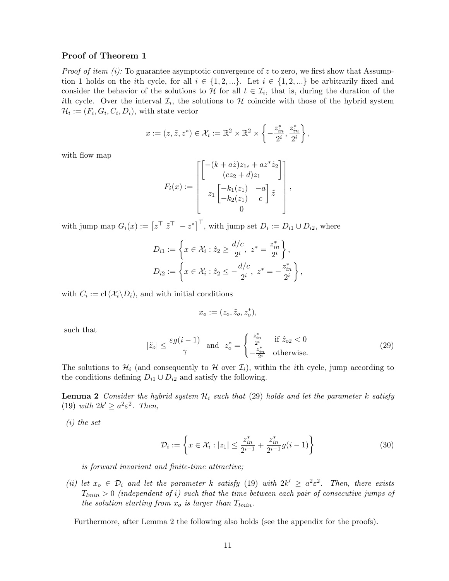#### Proof of Theorem [1](#page-9-2)

*Proof of item (i):* To guarantee asymptotic convergence of z to zero, we first show that Assump-tion [1](#page-1-0) holds on the *i*th cycle, for all  $i \in \{1, 2, ...\}$ . Let  $i \in \{1, 2, ...\}$  be arbitrarily fixed and consider the behavior of the solutions to H for all  $t \in \mathcal{I}_i$ , that is, during the duration of the ith cycle. Over the interval  $\mathcal{I}_i$ , the solutions to  $\mathcal{H}$  coincide with those of the hybrid system  $\mathcal{H}_i := (F_i, G_i, C_i, D_i)$ , with state vector

$$
x := (z, \tilde{z}, z^*) \in \mathcal{X}_i := \mathbb{R}^2 \times \mathbb{R}^2 \times \left\{-\frac{z_{in}^*,}{2^i}, \frac{z_{in}^*}{2^i}\right\},\,
$$

with flow map

$$
F_i(x) := \begin{bmatrix} \begin{bmatrix} -(k+a\tilde{z})z_{1e}+az^*\tilde{z}_2\\ (cz_2+d)z_1 \end{bmatrix} \\ z_1 \begin{bmatrix} -k_1(z_1) & -a \\ -k_2(z_1) & c \end{bmatrix} \tilde{z} \\ 0 \end{bmatrix},
$$

with jump map  $G_i(x) := \begin{bmatrix} z^{\top} & z^{\top} & -z^* \end{bmatrix}^{\top}$ , with jump set  $D_i := D_{i1} \cup D_{i2}$ , where

$$
D_{i1} := \left\{ x \in \mathcal{X}_i : \hat{z}_2 \ge \frac{d/c}{2^i}, \ z^* = \frac{z_{in}^*}{2^i} \right\},\
$$
  

$$
D_{i2} := \left\{ x \in \mathcal{X}_i : \hat{z}_2 \le -\frac{d/c}{2^i}, \ z^* = -\frac{z_{in}^*}{2^i} \right\},\
$$

with  $C_i := \text{cl}\,(\mathcal{X}_i \backslash D_i)$ , and with initial conditions

$$
x_o:=(z_o,\tilde{z}_o,z_o^*),
$$

such that

<span id="page-10-0"></span>
$$
|\tilde{z}_o| \le \frac{\varepsilon g(i-1)}{\gamma} \quad \text{and} \quad z_o^* = \begin{cases} \frac{z_{in}^*}{2^i} & \text{if } \hat{z}_{o2} < 0\\ -\frac{z_{in}^*}{2^i} & \text{otherwise.} \end{cases} \tag{29}
$$

The solutions to  $\mathcal{H}_i$  (and consequently to  $\mathcal{H}$  over  $\mathcal{I}_i$ ), within the *i*th cycle, jump according to the conditions defining  $D_{i1} \cup D_{i2}$  and satisfy the following.

<span id="page-10-1"></span>**Lemma 2** Consider the hybrid system  $\mathcal{H}_i$  such that [\(29\)](#page-10-0) holds and let the parameter k satisfy [\(19\)](#page-5-3) with  $2k' \geq a^2 \varepsilon^2$ . Then,

(i) the set

<span id="page-10-3"></span>
$$
\mathcal{D}_i := \left\{ x \in \mathcal{X}_i : |z_1| \le \frac{z_{in}^*}{2^{i-1}} + \frac{z_{in}^*}{2^{i-1}} g(i-1) \right\} \tag{30}
$$

is forward invariant and finite-time attractive;

(ii) let  $x_o \in \mathcal{D}_i$  and let the parameter k satisfy [\(19\)](#page-5-3) with  $2k' \geq a^2 \varepsilon^2$ . Then, there exists  $T_{lmin} > 0$  (independent of i) such that the time between each pair of consecutive jumps of the solution starting from  $x_o$  is larger than  $T_{lmin}$ .

<span id="page-10-2"></span>Furthermore, after Lemma [2](#page-10-1) the following also holds (see the appendix for the proofs).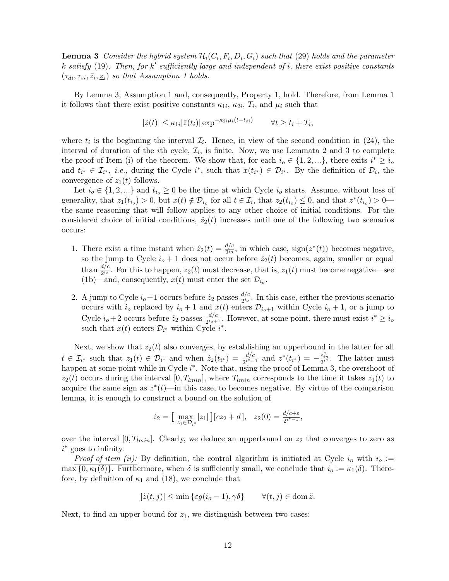**Lemma 3** Consider the hybrid system  $\mathcal{H}_i(C_i, F_i, D_i, G_i)$  such that [\(29\)](#page-10-0) holds and the parameter k satisfy  $(19)$ . Then, for k' sufficiently large and independent of i, there exist positive constants  $(\tau_{di}, \tau_{si}, \bar{z}_i, \underline{z}_i)$  so that Assumption [1](#page-1-0) holds.

By Lemma [3,](#page-10-2) Assumption [1](#page-1-0) and, consequently, Property [1,](#page-2-1) hold. Therefore, from Lemma [1](#page-2-2) it follows that there exist positive constants  $\kappa_{1i}$ ,  $\kappa_{2i}$ ,  $T_i$ , and  $\mu_i$  such that

$$
|\tilde{z}(t)| \le \kappa_{1i} |\tilde{z}(t_i)| \exp^{-\kappa_{2i} \mu_i (t - t_{oi})} \qquad \forall t \ge t_i + T_i,
$$

where  $t_i$  is the beginning the interval  $\mathcal{I}_i$ . Hence, in view of the second condition in [\(24\)](#page-7-1), the interval of duration of the *i*th cycle,  $\mathcal{I}_i$ , is finite. Now, we use Lemmata [2](#page-10-1) and [3](#page-10-2) to complete the proof of Item (i) of the theorem. We show that, for each  $i_o \in \{1, 2, ...\}$ , there exits  $i^* \ge i_o$ and  $t_{i^*} \in \mathcal{I}_{i^*}, i.e.,$  during the Cycle  $i^*$ , such that  $x(t_{i^*}) \in \mathcal{D}_{i^*}.$  By the definition of  $\mathcal{D}_i$ , the convergence of  $z_1(t)$  follows.

Let  $i_o \in \{1, 2, ...\}$  and  $t_{i_o} \geq 0$  be the time at which Cycle  $i_o$  starts. Assume, without loss of generality, that  $z_1(t_{i_0}) > 0$ , but  $x(t) \notin \mathcal{D}_{i_0}$  for all  $t \in \mathcal{I}_i$ , that  $z_2(t_{i_0}) \leq 0$ , and that  $z^*(t_{i_0}) > 0$  the same reasoning that will follow applies to any other choice of initial conditions. For the considered choice of initial conditions,  $\hat{z}_2(t)$  increases until one of the following two scenarios occurs:

- 1. There exist a time instant when  $\hat{z}_2(t) = \frac{d/c}{2^{i_o}}$ , in which case, sign( $z^*(t)$ ) becomes negative, so the jump to Cycle  $i_o + 1$  does not occur before  $\hat{z}_2(t)$  becomes, again, smaller or equal than  $\frac{d/c}{2^{i_o}}$ . For this to happen,  $z_2(t)$  must decrease, that is,  $z_1(t)$  must become negative—see [\(1b\)](#page-0-0)—and, consequently,  $x(t)$  must enter the set  $\mathcal{D}_{i_o}$ .
- 2. A jump to Cycle  $i_o+1$  occurs before  $\hat{z}_2$  passes  $\frac{d/c}{2i_o}$  $\frac{d}{2^{i_o}}$ . In this case, either the previous scenario occurs with  $i_o$  replaced by  $i_o + 1$  and  $x(t)$  enters  $\mathcal{D}_{i_o+1}$  within Cycle  $i_o + 1$ , or a jump to Cycle  $i_o+2$  occurs before  $\hat{z}_2$  passes  $\frac{d/c}{2i_o+1}$  $\frac{d/c}{2^{i_0+1}}$ . However, at some point, there must exist  $i^* \geq i_0$ such that  $x(t)$  enters  $\mathcal{D}_{i^*}$  within Cycle  $i^*$ .

Next, we show that  $z_2(t)$  also converges, by establishing an upperbound in the latter for all  $t \in \mathcal{I}_{i^*}$  such that  $z_1(t) \in \mathcal{D}_{i^*}$  and when  $\hat{z}_2(t_{i^*}) = \frac{d/c}{2^{i^*-1}}$  and  $z^*(t_{i^*}) = -\frac{z_{in}^*}{2^{i^*}}$ . The latter must happen at some point while in Cycle  $i^*$ . Note that, using the proof of Lemma [3,](#page-10-2) the overshoot of  $z_2(t)$  occurs during the interval  $[0, T_{lmin}]$ , where  $T_{lmin}$  corresponds to the time it takes  $z_1(t)$  to acquire the same sign as  $z^*(t)$ —in this case, to becomes negative. By virtue of the comparison lemma, it is enough to construct a bound on the solution of

$$
\dot{z}_2 = \left[ \max_{z_1 \in \mathcal{D}_{i^*}} |z_1| \right] [cz_2 + d], \quad z_2(0) = \frac{d/c + \varepsilon}{2^{i^* - 1}},
$$

over the interval  $[0, T_{lmin}]$ . Clearly, we deduce an upperbound on  $z_2$  that converges to zero as i <sup>∗</sup> goes to infinity.

*Proof of item (ii):* By definition, the control algorithm is initiated at Cycle  $i<sub>o</sub>$  with  $i<sub>o</sub> :=$  $\max\{0,\kappa_1(\delta)\}\.$  Furthermore, when  $\delta$  is sufficiently small, we conclude that  $i_o := \kappa_1(\delta)$ . Therefore, by definition of  $\kappa_1$  and [\(18\)](#page-5-0), we conclude that

$$
|\tilde{z}(t,j)| \le \min\left\{ \varepsilon g(i_o - 1), \gamma \delta \right\} \qquad \forall (t,j) \in \text{dom}\,\tilde{z}.
$$

Next, to find an upper bound for  $z_1$ , we distinguish between two cases: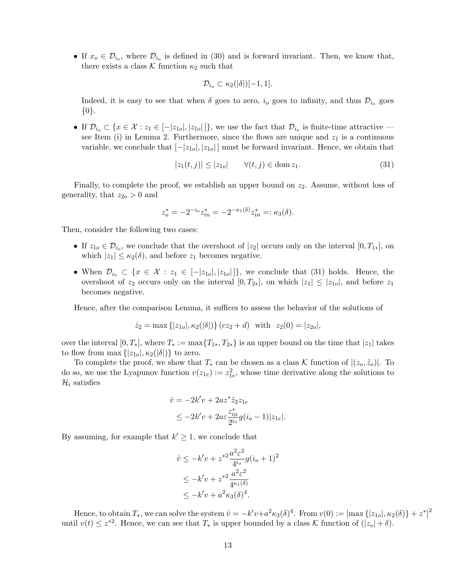• If  $x_o \in \mathcal{D}_{i_o}$ , where  $\mathcal{D}_{i_o}$  is defined in [\(30\)](#page-10-3) and is forward invariant. Then, we know that, there exists a class  $\mathcal K$  function  $\kappa_2$  such that

<span id="page-12-0"></span>
$$
\mathcal{D}_{i_o} \subset \kappa_2(|\delta|)[-1,1].
$$

Indeed, it is easy to see that when  $\delta$  goes to zero,  $i_{o}$  goes to infinity, and thus  $\mathcal{D}_{i_{o}}$  goes {0}.

• If  $\mathcal{D}_{i_o} \subset \{x \in \mathcal{X} : z_1 \in [-|z_{1o}|, |z_{1o}|]\}$ , we use the fact that  $\mathcal{D}_{i_o}$  is finite-time attractive — see Item (i) in Lemma [2.](#page-10-1) Furthermore, since the flows are unique and  $z_1$  is a continuous variable, we conclude that  $[-|z_{1o}|, |z_{1o}|]$  must be forward invariant. Hence, we obtain that

$$
|z_1(t,j)| \le |z_{10}| \qquad \forall (t,j) \in \text{dom } z_1. \tag{31}
$$

Finally, to complete the proof, we establish an upper bound on  $z_2$ . Assume, without loss of generality, that  $z_{2o} > 0$  and

$$
z_o^* = -2^{-i_o} z_{in}^* = -2^{-\kappa_1(\delta)} z_{in}^* =: \kappa_3(\delta).
$$

Then, consider the following two cases:

- If  $z_{1o} \in \mathcal{D}_{i_o}$ , we conclude that the overshoot of  $|z_2|$  occurs only on the interval  $[0, T_{1*}]$ , on which  $|z_1| \leq \kappa_2(\delta)$ , and before  $z_1$  becomes negative.
- When  $\mathcal{D}_{i_o} \subset \{x \in \mathcal{X} : z_1 \in [-|z_{1o}|, |z_{1o}|]\}$ , we conclude that [\(31\)](#page-12-0) holds. Hence, the overshoot of  $z_2$  occurs only on the interval  $[0, T_{2*}]$ , on which  $|z_1| \leq |z_{10}|$ , and before  $z_1$ becomes negative.

Hence, after the comparison Lemma, it suffices to assess the behavior of the solutions of

$$
\dot{z}_2 = \max\{|z_{1o}|, \kappa_2(|\delta|)\} (cz_2 + d) \text{ with } z_2(0) = |z_{2o}|,
$$

over the interval  $[0, T_*]$ , where  $T_* := \max\{T_{1*}, T_{2*}\}\$ is an upper bound on the time that  $|z_1|$  takes to flow from max  $\{|z_{1o}|, \kappa_2(|\delta|)\}\)$  to zero.

To complete the proof, we show that  $T_*$  can be chosen as a class K function of  $|(z_o, \tilde{z}_o)|$ . To do so, we use the Lyapunov function  $v(z_{1e}) := z_{1e}^2$ , whose time derivative along the solutions to  $\mathcal{H}_i$  satisfies

$$
\dot{v} = -2k'v + 2az^*\tilde{z}_2z_{1e}
$$
\n
$$
\leq -2k'v + 2a\varepsilon \frac{z_{in}^*}{2^{i_o}}g(i_o - 1)|z_{1e}|.
$$

By assuming, for example that  $k' \geq 1$ , we conclude that

$$
\dot{v} \le -k'v + z^{*2} \frac{a^2 \varepsilon^2}{4^{i_o}} g(i_o + 1)^2
$$
  
 
$$
\le -k'v + z^{*2} \frac{a^2 \varepsilon^2}{4^{\kappa_1(\delta)}}
$$
  
 
$$
\le -k'v + a^2 \kappa_3(\delta)^4.
$$

Hence, to obtain  $T_*$ , we can solve the system  $\dot{v} = -k'v + a^2\kappa_3(\delta)^4$ . From  $v(0) := [\max\{|z_{1o}|, \kappa_2(\delta)\} + z^*]^2$ until  $v(t) \leq z^{*2}$ . Hence, we can see that  $T_*$  is upper bounded by a class K function of  $(|z_0| + \delta)$ .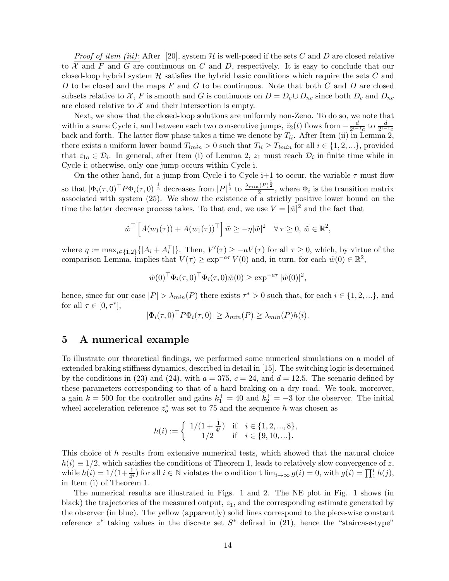*Proof of item (iii):* After [\[20\]](#page-20-13), system  $H$  is well-posed if the sets C and D are closed relative to  $\mathcal X$  and  $F$  and  $G$  are continuous on  $C$  and  $D$ , respectively. It is easy to conclude that our closed-loop hybrid system  $H$  satisfies the hybrid basic conditions which require the sets  $C$  and D to be closed and the maps  $F$  and  $G$  to be continuous. Note that both  $C$  and  $D$  are closed subsets relative to X, F is smooth and G is continuous on  $D = D_c \cup D_{nc}$  since both  $D_c$  and  $D_{nc}$ are closed relative to  $\mathcal X$  and their intersection is empty.

Next, we show that the closed-loop solutions are uniformly non-Zeno. To do so, we note that within a same Cycle i, and between each two consecutive jumps,  $\hat{z}_2(t)$  flows from  $-\frac{d}{2^{i-1}}$  $\frac{d}{2^{i-1}c}$  to  $\frac{d}{2^{i-1}c}$ back and forth. The latter flow phase takes a time we denote by  $T_{li}$ . After Item (ii) in Lemma [2,](#page-10-1) there exists a uniform lower bound  $T_{lmin} > 0$  such that  $T_{li} \geq T_{lmin}$  for all  $i \in \{1, 2, ...\}$ , provided that  $z_{1o} \in \mathcal{D}_i$ . In general, after Item (i) of Lemma [2,](#page-10-1)  $z_1$  must reach  $\mathcal{D}_i$  in finite time while in Cycle i; otherwise, only one jump occurs within Cycle i.

On the other hand, for a jump from Cycle i to Cycle i+1 to occur, the variable  $\tau$  must flow so that  $|\Phi_i(\tau,0)^{\top} P \Phi_i(\tau,0)|^{\frac{1}{2}}$  decreases from  $|P|^{\frac{1}{2}}$  to  $\frac{\lambda_{min}(P)^{\frac{1}{2}}}{2}$  $\frac{1}{2}$ , where  $\Phi_i$  is the transition matrix associated with system [\(25\)](#page-7-2). We show the existence of a strictly positive lower bound on the time the latter decrease process takes. To that end, we use  $V = |\tilde{w}|^2$  and the fact that

$$
\tilde{w}^{\top}\left[A(w_1(\tau)) + A(w_1(\tau))^{\top}\right]\tilde{w} \geq -\eta|\tilde{w}|^2 \quad \forall \tau \geq 0, \, \tilde{w} \in \mathbb{R}^2,
$$

where  $\eta := \max_{i \in \{1,2\}} \{|A_i + A_i^{\top}|\}.$  Then,  $V'(\tau) \ge -aV(\tau)$  for all  $\tau \ge 0$ , which, by virtue of the comparison Lemma, implies that  $V(\tau) \ge \exp^{-a\tau} V(0)$  and, in turn, for each  $\tilde{w}(0) \in \mathbb{R}^2$ ,

$$
\tilde{w}(0)^{\top} \Phi_i(\tau, 0)^{\top} \Phi_i(\tau, 0) \tilde{w}(0) \ge \exp^{-a\tau} |\tilde{w}(0)|^2,
$$

hence, since for our case  $|P| > \lambda_{min}(P)$  there exists  $\tau^* > 0$  such that, for each  $i \in \{1, 2, ...\}$ , and for all  $\tau \in [0, \tau^*],$ 

$$
|\Phi_i(\tau,0)^{\top} P \Phi_i(\tau,0)| \geq \lambda_{min}(P) \geq \lambda_{min}(P) h(i).
$$

## 5 A numerical example

To illustrate our theoretical findings, we performed some numerical simulations on a model of extended braking stiffness dynamics, described in detail in [\[15\]](#page-20-7). The switching logic is determined by the conditions in [\(23\)](#page-7-3) and [\(24\)](#page-7-1), with  $a = 375$ ,  $c = 24$ , and  $d = 12.5$ . The scenario defined by these parameters corresponding to that of a hard braking on a dry road. We took, moreover, a gain  $k = 500$  for the controller and gains  $k_1^+ = 40$  and  $k_2^+ = -3$  for the observer. The initial wheel acceleration reference  $z_o^*$  was set to 75 and the sequence h was chosen as

$$
h(i) := \begin{cases} 1/(1 + \frac{1}{4^{i}}) & \text{if } i \in \{1, 2, ..., 8\}, \\ 1/2 & \text{if } i \in \{9, 10, ...\}. \end{cases}
$$

This choice of h results from extensive numerical tests, which showed that the natural choice  $h(i) \equiv 1/2$ , which satisfies the conditions of Theorem [1,](#page-9-2) leads to relatively slow convergence of z, while  $h(i) = 1/(1 + \frac{1}{4^i})$  for all  $i \in \mathbb{N}$  violates the condition t  $\lim_{i \to \infty} g(i) = 0$ , with  $g(i) = \prod_1^i h(j)$ , in Item (i) of Theorem [1.](#page-9-2)

The numerical results are illustrated in Figs. [1](#page-14-0) and [2.](#page-14-1) The NE plot in Fig. [1](#page-14-0) shows (in black) the trajectories of the measured output,  $z_1$ , and the corresponding estimate generated by the observer (in blue). The yellow (apparently) solid lines correspond to the piece-wise constant reference  $z^*$  taking values in the discrete set  $S^*$  defined in [\(21\)](#page-5-2), hence the "staircase-type"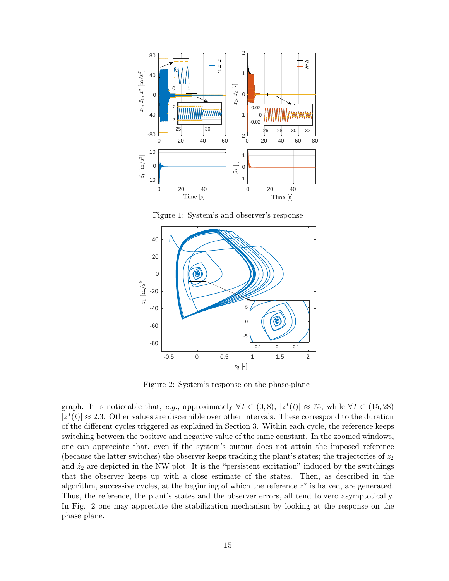

<span id="page-14-0"></span>Figure 1: System's and observer's response



<span id="page-14-1"></span>Figure 2: System's response on the phase-plane

graph. It is noticeable that, e.g., approximately  $\forall t \in (0,8)$ ,  $|z^*(t)| \approx 75$ , while  $\forall t \in (15,28)$  $|z^*(t)| \approx 2.3$ . Other values are discernible over other intervals. These correspond to the duration of the different cycles triggered as explained in Section [3.](#page-4-4) Within each cycle, the reference keeps switching between the positive and negative value of the same constant. In the zoomed windows, one can appreciate that, even if the system's output does not attain the imposed reference (because the latter switches) the observer keeps tracking the plant's states; the trajectories of  $z_2$ and  $\hat{z}_2$  are depicted in the NW plot. It is the "persistent excitation" induced by the switchings that the observer keeps up with a close estimate of the states. Then, as described in the algorithm, successive cycles, at the beginning of which the reference  $z^*$  is halved, are generated. Thus, the reference, the plant's states and the observer errors, all tend to zero asymptotically. In Fig. [2](#page-14-1) one may appreciate the stabilization mechanism by looking at the response on the phase plane.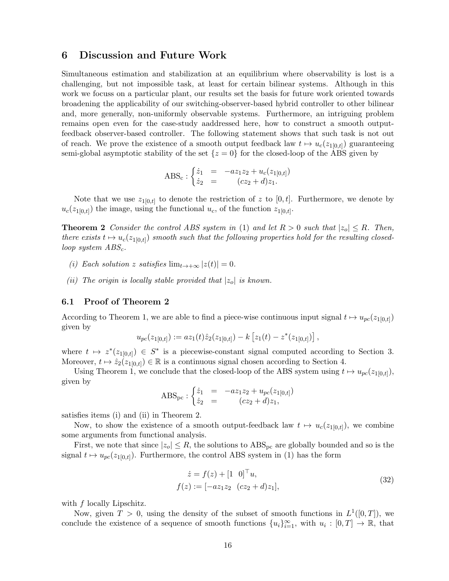## 6 Discussion and Future Work

Simultaneous estimation and stabilization at an equilibrium where observability is lost is a challenging, but not impossible task, at least for certain bilinear systems. Although in this work we focuss on a particular plant, our results set the basis for future work oriented towards broadening the applicability of our switching-observer-based hybrid controller to other bilinear and, more generally, non-uniformly observable systems. Furthermore, an intriguing problem remains open even for the case-study aaddressed here, how to construct a smooth outputfeedback observer-based controller. The following statement shows that such task is not out of reach. We prove the existence of a smooth output feedback law  $t \mapsto u_c(z_{1[0,t]})$  guaranteeing semi-global asymptotic stability of the set  $\{z = 0\}$  for the closed-loop of the ABS given by

$$
ABS_c: \begin{cases} \dot{z}_1 = -az_1z_2 + u_c(z_{1[0,t]}) \\ \dot{z}_2 = (cz_2 + d)z_1. \end{cases}
$$

Note that we use  $z_{1[0,t]}$  to denote the restriction of z to  $[0,t]$ . Furthermore, we denote by  $u_c(z_{1[0,t]})$  the image, using the functional  $u_c$ , of the function  $z_{1[0,t]}$ .

<span id="page-15-0"></span>**Theorem 2** Consider the control ABS system in [\(1\)](#page-0-1) and let  $R > 0$  such that  $|z_0| \leq R$ . Then, there exists  $t \mapsto u_c(z_{1[0,t]})$  smooth such that the following properties hold for the resulting closedloop system  $ABS_c$ .

- (i) Each solution z satisfies  $\lim_{t\to+\infty} |z(t)| = 0$ .
- (ii) The origin is locally stable provided that  $|z_0|$  is known.

#### 6.1 Proof of Theorem [2](#page-15-0)

According to Theorem [1,](#page-9-2) we are able to find a piece-wise continuous input signal  $t \mapsto u_{pc}(z_{1[0,t]})$ given by

$$
u_{pc}(z_{1[0,t]}) := az_1(t)\hat{z}_2(z_{1[0,t]}) - k [z_1(t) - z^*(z_{1[0,t]})],
$$

where  $t \mapsto z^*(z_{1[0,t]}) \in S^*$  is a piecewise-constant signal computed according to Section [3.](#page-4-4) Moreover,  $t \mapsto \hat{z}_2(z_{1[0,t]}) \in \mathbb{R}$  is a continuous signal chosen according to Section [4.](#page-7-4)

Using Theorem [1,](#page-9-2) we conclude that the closed-loop of the ABS system using  $t \mapsto u_{pc}(z_{1[0,t]})$ , given by

$$
ABS_{pc}: \begin{cases} \dot{z}_1 = -az_1z_2 + u_{pc}(z_{1[0,t]}) \\ \dot{z}_2 = (cz_2 + d)z_1, \end{cases}
$$

satisfies items (i) and (ii) in Theorem [2.](#page-15-0)

Now, to show the existence of a smooth output-feedback law  $t \mapsto u_c(z_{1[0,t]})$ , we combine some arguments from functional analysis.

First, we note that since  $|z_0| \leq R$ , the solutions to  $\text{ABS}_{\text{pc}}$  are globally bounded and so is the signal  $t \mapsto u_{pc}(z_{1[0,t]})$ . Furthermore, the control ABS system in [\(1\)](#page-0-1) has the form

<span id="page-15-1"></span>
$$
\begin{aligned}\n\dot{z} &= f(z) + [1 \ 0]^\top u, \\
f(z) &:= [-az_1 z_2 \ (cz_2 + d)z_1],\n\end{aligned} \tag{32}
$$

with f locally Lipschitz.

Now, given  $T > 0$ , using the density of the subset of smooth functions in  $L^1([0,T])$ , we conclude the existence of a sequence of smooth functions  ${u_i}_{i=1}^{\infty}$ , with  $u_i: [0, T] \to \mathbb{R}$ , that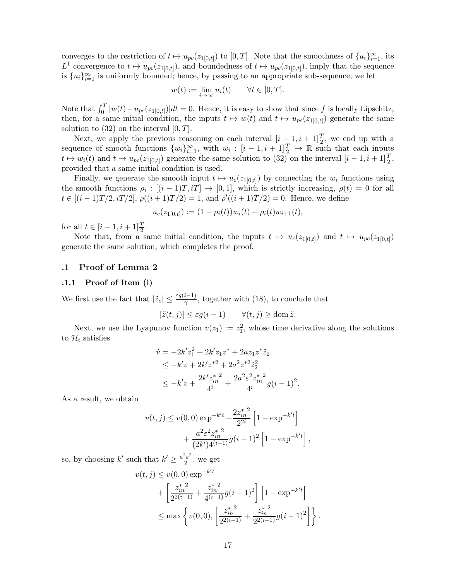converges to the restriction of  $t \mapsto u_{pc}(z_{1[0,t]})$  to  $[0,T]$ . Note that the smoothness of  $\{u_i\}_{i=1}^{\infty}$ , its  $L^1$  convergence to  $t \mapsto u_{pc}(z_{1[0,t]})$ , and boundedness of  $t \mapsto u_{pc}(z_{1[0,t]})$ , imply that the sequence is  ${u_i}_{i=1}^{\infty}$  is uniformly bounded; hence, by passing to an appropriate sub-sequence, we let

$$
w(t) := \lim_{i \to \infty} u_i(t) \qquad \forall t \in [0, T].
$$

Note that  $\int_0^T |w(t) - u_{pc}(z_{1[0,t]})|dt = 0$ . Hence, it is easy to show that since f is locally Lipschitz, then, for a same initial condition, the inputs  $t \mapsto w(t)$  and  $t \mapsto u_{pc}(z_{1[0,t]})$  generate the same solution to  $(32)$  on the interval  $[0, T]$ .

Next, we apply the previous reasoning on each interval  $[i-1,i+1]\frac{T}{2}$ , we end up with a sequence of smooth functions  $\{w_i\}_{i=1}^{\infty}$ , with  $w_i : [i-1, i+1]\frac{T}{2} \rightarrow \mathbb{R}$  such that each inputs  $t \mapsto w_i(t)$  and  $t \mapsto u_{pc}(z_{1[0,t]})$  generate the same solution to  $(32)$  on the interval  $[i-1, i+1]\frac{T}{2}$ , provided that a same initial condition is used.

Finally, we generate the smooth input  $t \mapsto u_c(z_{1[0,t]})$  by connecting the  $w_i$  functions using the smooth functions  $\rho_i : [(i-1)T, iT] \to [0,1]$ , which is strictly increasing,  $\rho(t) = 0$  for all  $t \in [(i-1)T/2, iT/2], \rho((i+1)T/2) = 1$ , and  $\rho'((i+1)T/2) = 0$ . Hence, we define

$$
u_c(z_{1[0,t]}) := (1 - \rho_i(t))w_i(t) + \rho_i(t)w_{i+1}(t),
$$

for all  $t \in [i - 1, i + 1] \frac{T}{2}$ .

Note that, from a same initial condition, the inputs  $t \mapsto u_c(z_{1[0,t]})$  and  $t \mapsto u_{pc}(z_{1[0,t]})$ generate the same solution, which completes the proof.

#### .1 Proof of Lemma [2](#page-10-1)

#### .1.1 Proof of Item (i)

We first use the fact that  $|\tilde{z}_o| \leq \frac{\varepsilon g(i-1)}{\gamma}$ , together with [\(18\)](#page-5-0), to conclude that

$$
|\tilde{z}(t,j)| \le \varepsilon g(i-1) \qquad \forall (t,j) \ge \text{dom}\,\tilde{z}.
$$

Next, we use the Lyapunov function  $v(z_1) := z_1^2$ , whose time derivative along the solutions to  $\mathcal{H}_i$  satisfies

$$
\dot{v} = -2k'z_1^2 + 2k'z_1z^* + 2az_1z^*\tilde{z}_2
$$
\n
$$
\leq -k'v + 2k'z^{*2} + 2a^2z^{*2}\tilde{z}_2^2
$$
\n
$$
\leq -k'v + \frac{2k'z_{in}^*^2}{4^i} + \frac{2a^2\varepsilon^2z_{in}^*^2}{4^i}g(i-1)^2.
$$

As a result, we obtain

$$
v(t,j) \le v(0,0) \exp^{-k't} + \frac{2z_{in}^{*2}}{2^{2i}} \left[1 - \exp^{-k't}\right] + \frac{a^2 \varepsilon^2 z_{in}^{*2}}{(2k')4^{(i-1)}} g(i-1)^2 \left[1 - \exp^{-k't}\right],
$$

so, by choosing k' such that  $k' \geq \frac{a^2 \varepsilon^2}{2}$  $\frac{2}{2}$ , we get

$$
v(t,j) \le v(0,0) \exp^{-k't}
$$
  
+  $\left[\frac{z_{in}^{*2}}{2^{2(i-1)}} + \frac{z_{in}^{*2}}{4^{(i-1)}}g(i-1)^2\right] \left[1 - \exp^{-k't}\right]$   

$$
\le \max \left\{v(0,0), \left[\frac{z_{in}^{*2}}{2^{2(i-1)}} + \frac{z_{in}^{*2}}{2^{2(i-1)}}g(i-1)^2\right]\right\}.
$$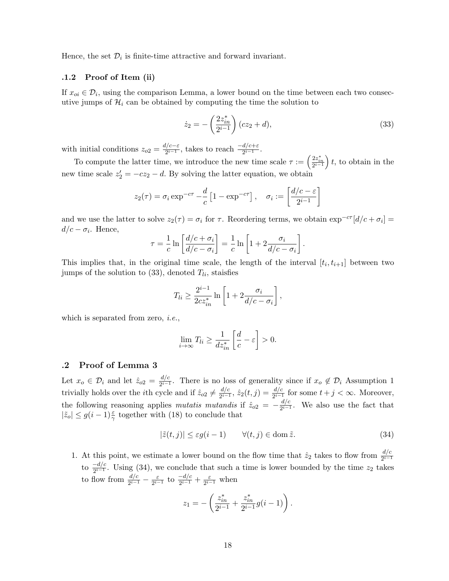Hence, the set  $\mathcal{D}_i$  is finite-time attractive and forward invariant.

#### .1.2 Proof of Item (ii)

If  $x_{oi} \in \mathcal{D}_i$ , using the comparison Lemma, a lower bound on the time between each two consecutive jumps of  $\mathcal{H}_i$  can be obtained by computing the time the solution to

<span id="page-17-0"></span>
$$
\dot{z}_2 = -\left(\frac{2z_{in}^*}{2^{i-1}}\right)(cz_2 + d),\tag{33}
$$

with initial conditions  $z_{o2} = \frac{d/c - \varepsilon}{2i - 1}$  $\frac{l/c-\varepsilon}{2^{i-1}}$ , takes to reach  $\frac{-d/c+\varepsilon}{2^{i-1}}$ .

To compute the latter time, we introduce the new time scale  $\tau := \left(\frac{2z_{in}^*}{2^{i-1}}\right)t$ , to obtain in the new time scale  $z_2' = -cz_2 - d$ . By solving the latter equation, we obtain

$$
z_2(\tau) = \sigma_i \exp^{-c\tau} - \frac{d}{c} \left[ 1 - \exp^{-c\tau} \right], \quad \sigma_i := \left[ \frac{d/c - \varepsilon}{2^{i-1}} \right]
$$

and we use the latter to solve  $z_2(\tau) = \sigma_i$  for  $\tau$ . Reordering terms, we obtain  $\exp^{-c\tau}[d/c + \sigma_i] =$  $d/c - \sigma_i$ . Hence,

$$
\tau = \frac{1}{c} \ln \left[ \frac{d/c + \sigma_i}{d/c - \sigma_i} \right] = \frac{1}{c} \ln \left[ 1 + 2 \frac{\sigma_i}{d/c - \sigma_i} \right].
$$

This implies that, in the original time scale, the length of the interval  $[t_i, t_{i+1}]$  between two jumps of the solution to  $(33)$ , denoted  $T_{li}$ , staisfies

$$
T_{li} \ge \frac{2^{i-1}}{2cz_{in}^*} \ln\left[1 + 2\frac{\sigma_i}{d/c - \sigma_i}\right],
$$

which is separated from zero, *i.e.*,

$$
\lim_{i \to \infty} T_{li} \ge \frac{1}{dz_{in}^*} \left[ \frac{d}{c} - \varepsilon \right] > 0.
$$

#### .2 Proof of Lemma [3](#page-10-2)

Let  $x_o \in \mathcal{D}_i$  and let  $\hat{z}_{o2} = \frac{d/c}{2^{i-1}}$  $rac{a/c}{2^{i-1}}$ . There is no loss of generality since if  $x_o \notin \mathcal{D}_i$  Assumption [1](#page-1-0) trivially holds over the *i*th cycle and if  $\hat{z}_{o2} \neq \frac{d/c}{2^{i-1}}$  $\frac{d/c}{2^{i-1}}, \hat{z}_2(t,j) = \frac{d/c}{2^{i-1}}$  for some  $t+j < \infty$ . Moreover, the following reasoning applies mutatis mutandis if  $\hat{z}_{o2} = -\frac{d/c}{2^{i-1}}$  $\frac{a/c}{2^{i-1}}$ . We also use the fact that  $|\tilde{z}_o| \leq g(i-1)\frac{\varepsilon}{\gamma}$  together with [\(18\)](#page-5-0) to conclude that

$$
|\tilde{z}(t,j)| \le \varepsilon g(i-1) \qquad \forall (t,j) \in \text{dom}\,\tilde{z}.\tag{34}
$$

1. At this point, we estimate a lower bound on the flow time that  $\hat{z}_2$  takes to flow from  $\frac{d/c}{2^{i-1}}$ to  $\frac{-d/c}{2^{i-1}}$ . Using [\(34\)](#page-17-1), we conclude that such a time is lower bounded by the time  $z_2$  takes to flow from  $\frac{d/c}{2^{i-1}} - \frac{\varepsilon}{2^{i-1}}$  $\frac{\varepsilon}{2^{i-1}}$  to  $\frac{-d/c}{2^{i-1}} + \frac{\varepsilon}{2^{i-1}}$  $\frac{\varepsilon}{2^{i-1}}$  when

<span id="page-17-1"></span>
$$
z_1 = -\left(\frac{z_{in}^*}{2^{i-1}} + \frac{z_{in}^*}{2^{i-1}}g(i-1)\right).
$$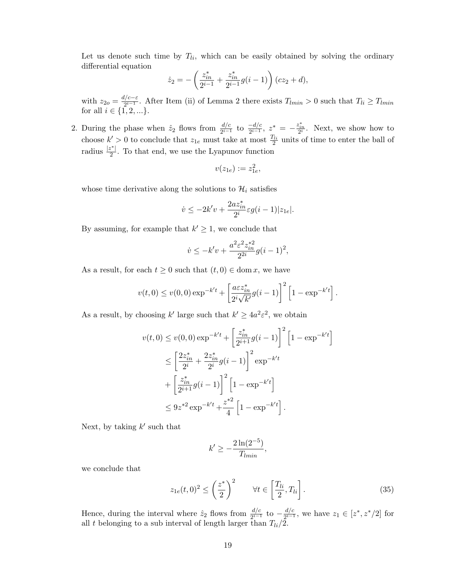Let us denote such time by  $T_{li}$ , which can be easily obtained by solving the ordinary differential equation

$$
\dot{z}_2 = -\left(\frac{z_{in}^*}{2^{i-1}} + \frac{z_{in}^*}{2^{i-1}}g(i-1)\right)(cz_2 + d),
$$

with  $z_{2o} = \frac{d/c - \varepsilon}{2^{i-1}}$  $\frac{U^{C-\varepsilon}}{2^{i-1}}$ . After Item (ii) of Lemma [2](#page-10-1) there exists  $T_{lmin} > 0$  such that  $T_{li} \geq T_{lmin}$ for all  $i \in \{1, 2, ...\}$ .

2. During the phase when  $\hat{z}_2$  flows from  $\frac{d/c}{2^{i-1}}$  to  $\frac{-d/c}{2^{i-1}}$ ,  $z^* = -\frac{z^*_{in}}{2^i}$ . Next, we show how to choose  $k' > 0$  to conclude that  $z_{1e}$  must take at most  $\frac{T_{li}}{2}$  units of time to enter the ball of radius  $\frac{|z^*|}{2}$  $\frac{\gamma}{2}$ . To that end, we use the Lyapunov function

$$
v(z_{1e}) := z_{1e}^2,
$$

whose time derivative along the solutions to  $\mathcal{H}_i$  satisfies

$$
\dot{v} \leq -2k'v + \frac{2az_{in}^*}{2^i}\varepsilon g(i-1)|z_{1e}|.
$$

By assuming, for example that  $k' \geq 1$ , we conclude that

$$
\dot{v} \le -k'v + \frac{a^2 \varepsilon^2 z_{in}^{*2}}{2^{2i}} g(i-1)^2,
$$

As a result, for each  $t \geq 0$  such that  $(t, 0) \in \text{dom } x$ , we have

$$
v(t, 0) \le v(0, 0) \exp^{-k't} + \left[ \frac{a \varepsilon z_{in}^*}{2^i \sqrt{k'}} g(i-1) \right]^2 \left[ 1 - \exp^{-k't} \right].
$$

As a result, by choosing k' large such that  $k' \geq 4a^2\varepsilon^2$ , we obtain

$$
v(t,0) \le v(0,0) \exp^{-k't} + \left[\frac{z_{in}^*}{2^{i+1}}g(i-1)\right]^2 \left[1 - \exp^{-k't}\right]
$$
  

$$
\le \left[\frac{2z_{in}^*}{2^i} + \frac{2z_{in}^*}{2^i}g(i-1)\right]^2 \exp^{-k't}
$$
  

$$
+ \left[\frac{z_{in}^*}{2^{i+1}}g(i-1)\right]^2 \left[1 - \exp^{-k't}\right]
$$
  

$$
\le 9z^{*2} \exp^{-k't} + \frac{z^{*2}}{4} \left[1 - \exp^{-k't}\right].
$$

Next, by taking  $k'$  such that

<span id="page-18-0"></span>
$$
k' \ge -\frac{2\ln(2^{-5})}{T_{lmin}},
$$

we conclude that

$$
z_{1e}(t,0)^2 \le \left(\frac{z^*}{2}\right)^2 \qquad \forall t \in \left[\frac{T_{li}}{2}, T_{li}\right].\tag{35}
$$

Hence, during the interval where  $\hat{z}_2$  flows from  $\frac{d/c}{2^{i-1}}$  to  $-\frac{d/c}{2^{i-1}}$  $\frac{d/c}{2^{i-1}}$ , we have  $z_1 \in [z^*, z^*/2]$  for all t belonging to a sub interval of length larger than  $T_{li}/2$ .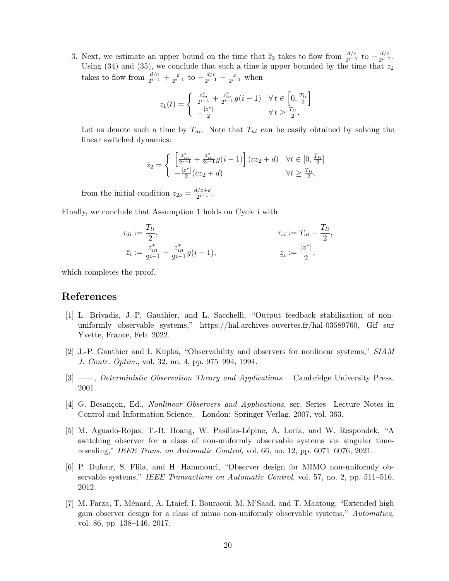3. Next, we estimate an upper bound on the time that  $\hat{z}_2$  takes to flow from  $\frac{d/c}{2^{i-1}}$  to  $-\frac{d/c}{2^{i-1}}$  $rac{a/c}{2^{i-1}}$ . Using [\(34\)](#page-17-1) and [\(35\)](#page-18-0), we conclude that such a time is upper bounded by the time that  $z_2$ takes to flow from  $\frac{d/c}{2^{i-1}} + \frac{\varepsilon}{2^{i-1}}$  $\frac{\varepsilon}{2^{i-1}}$  to  $-\frac{d/c}{2^{i-1}}$  $\frac{d/c}{2^{i-1}}-\frac{\varepsilon}{2^{i-1}}$  $\frac{\varepsilon}{2^{i-1}}$  when

$$
z_1(t)=\left\{\begin{array}{ll}\frac{z_{in}^*}{2^{i-1}}+\frac{z_{in}^*}{2^{i-1}}g(i-1) & \forall\, t\in\left[0,\frac{T_{li}}{2}\right] \\ -\frac{|z^*|}{2} & \forall\, t\geq\frac{T_{li}}{2}.\end{array}\right.
$$

Let us denote such a time by  $T_{ui}$ . Note that  $T_{ui}$  can be easily obtained by solving the linear switched dynamics:

$$
\dot{z}_2 = \begin{cases}\n\left[\frac{z_{in}^*}{2^{i-1}} + \frac{z_{in}^*}{2^{i-1}}g(i-1)\right](cz_2 + d) & \forall t \in [0, \frac{T_{li}}{2}] \\
-\frac{|z^*|}{2}(cz_2 + d) & \forall t \ge \frac{T_{li}}{2},\n\end{cases}
$$

from the initial condition  $z_{2o} = \frac{d/c+\varepsilon}{2^{i-1}}$  $rac{i}{2^{i-1}}$ .

Finally, we conclude that Assumption [1](#page-1-0) holds on Cycle i with

$$
\tau_{di} := \frac{T_{li}}{2}, \qquad \tau_{si} := T_{ui} - \frac{T_{li}}{2},
$$
  

$$
\bar{z}_i := \frac{z_{in}^*}{2^{i-1}} + \frac{z_{in}^*}{2^{i-1}} g(i-1), \qquad \underline{z}_i := \frac{|z^*|}{2},
$$

which completes the proof.

## References

- <span id="page-19-0"></span>[1] L. Brivadis, J.-P. Gauthier, and L. Sacchelli, "Output feedback stabilization of nonuniformly observable systems," https://hal.archives-ouvertes.fr/hal-03589760, Gif sur Yvette, France, Feb. 2022.
- [2] J.-P. Gauthier and I. Kupka, "Observability and observers for nonlinear systems," SIAM J. Contr. Optim., vol. 32, no. 4, pp. 975–994, 1994.
- [3] ——, *Deterministic Observation Theory and Applications*. Cambridge University Press, 2001.
- <span id="page-19-3"></span>[4] G. Besançon, Ed., *Nonlinear Observers and Applications*, ser. Series Lecture Notes in Control and Information Science. London: Springer Verlag, 2007, vol. 363.
- <span id="page-19-1"></span>[5] M. Aguado-Rojas, T.-B. Hoang, W. Pasillas-Lépine, A. Loría, and W. Respondek, "A switching observer for a class of non-uniformly observable systems via singular timerescaling," IEEE Trans. on Automatic Control, vol. 66, no. 12, pp. 6071–6076, 2021.
- <span id="page-19-2"></span>[6] P. Dufour, S. Flila, and H. Hammouri, "Observer design for MIMO non-uniformly observable systems," IEEE Transactions on Automatic Control, vol. 57, no. 2, pp. 511–516, 2012.
- [7] M. Farza, T. Ménard, A. Ltaief, I. Bouraoui, M. M'Saad, and T. Maatoug, "Extended high gain observer design for a class of mimo non-uniformly observable systems," Automatica, vol. 86, pp. 138–146, 2017.